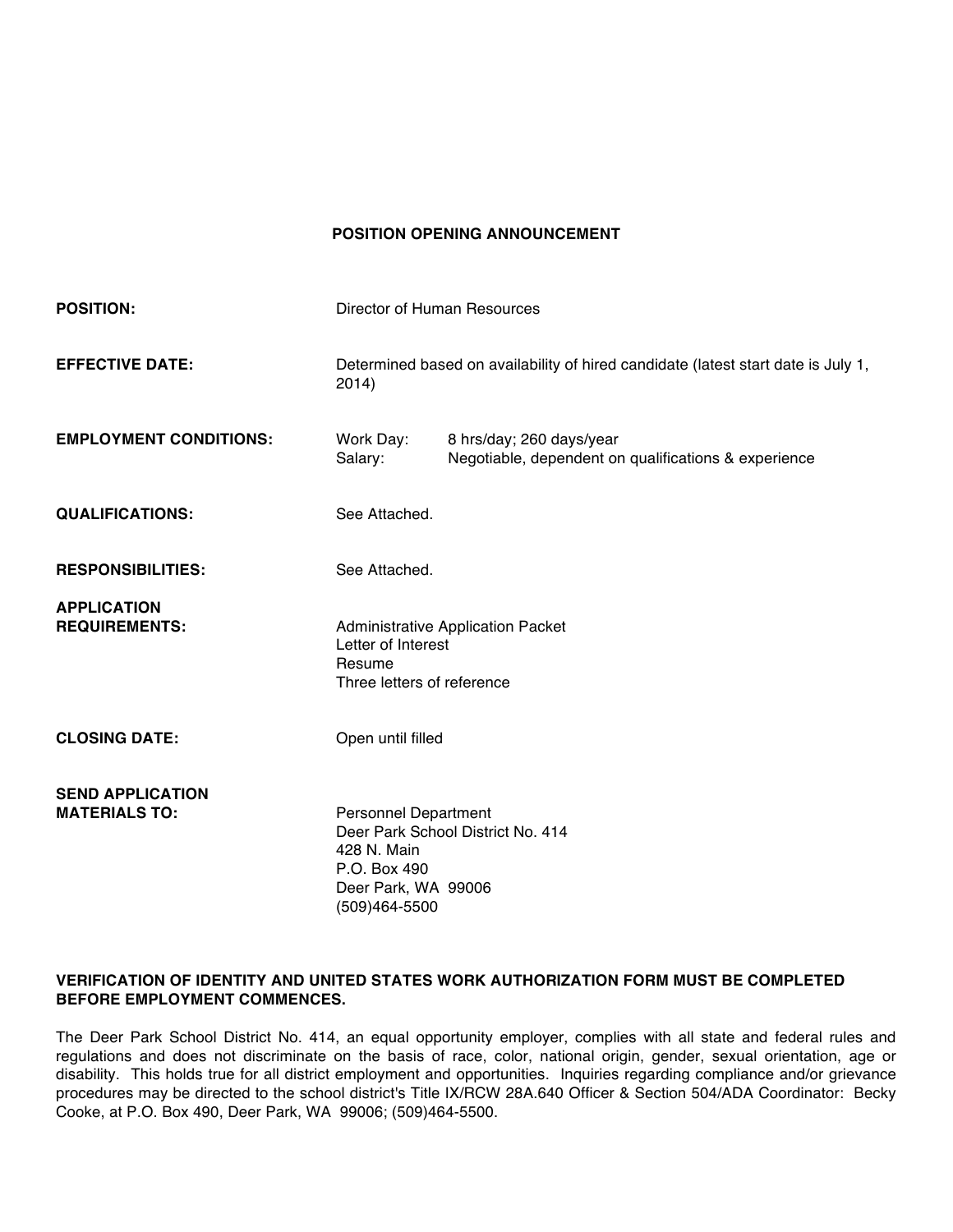#### **POSITION OPENING ANNOUNCEMENT**

| <b>POSITION:</b>                                | Director of Human Resources                                                                            |                                                                                  |
|-------------------------------------------------|--------------------------------------------------------------------------------------------------------|----------------------------------------------------------------------------------|
| <b>EFFECTIVE DATE:</b>                          | Determined based on availability of hired candidate (latest start date is July 1,<br>2014)             |                                                                                  |
| <b>EMPLOYMENT CONDITIONS:</b>                   | Work Day:<br>Salary:                                                                                   | 8 hrs/day; 260 days/year<br>Negotiable, dependent on qualifications & experience |
| <b>QUALIFICATIONS:</b>                          | See Attached.                                                                                          |                                                                                  |
| <b>RESPONSIBILITIES:</b>                        | See Attached.                                                                                          |                                                                                  |
| <b>APPLICATION</b><br><b>REQUIREMENTS:</b>      | <b>Administrative Application Packet</b><br>Letter of Interest<br>Resume<br>Three letters of reference |                                                                                  |
| <b>CLOSING DATE:</b>                            | Open until filled                                                                                      |                                                                                  |
| <b>SEND APPLICATION</b><br><b>MATERIALS TO:</b> | <b>Personnel Department</b><br>428 N. Main<br>P.O. Box 490<br>Deer Park, WA 99006<br>(509)464-5500     | Deer Park School District No. 414                                                |

#### **VERIFICATION OF IDENTITY AND UNITED STATES WORK AUTHORIZATION FORM MUST BE COMPLETED BEFORE EMPLOYMENT COMMENCES.**

The Deer Park School District No. 414, an equal opportunity employer, complies with all state and federal rules and regulations and does not discriminate on the basis of race, color, national origin, gender, sexual orientation, age or disability. This holds true for all district employment and opportunities. Inquiries regarding compliance and/or grievance procedures may be directed to the school district's Title IX/RCW 28A.640 Officer & Section 504/ADA Coordinator: Becky Cooke, at P.O. Box 490, Deer Park, WA 99006; (509)464-5500.